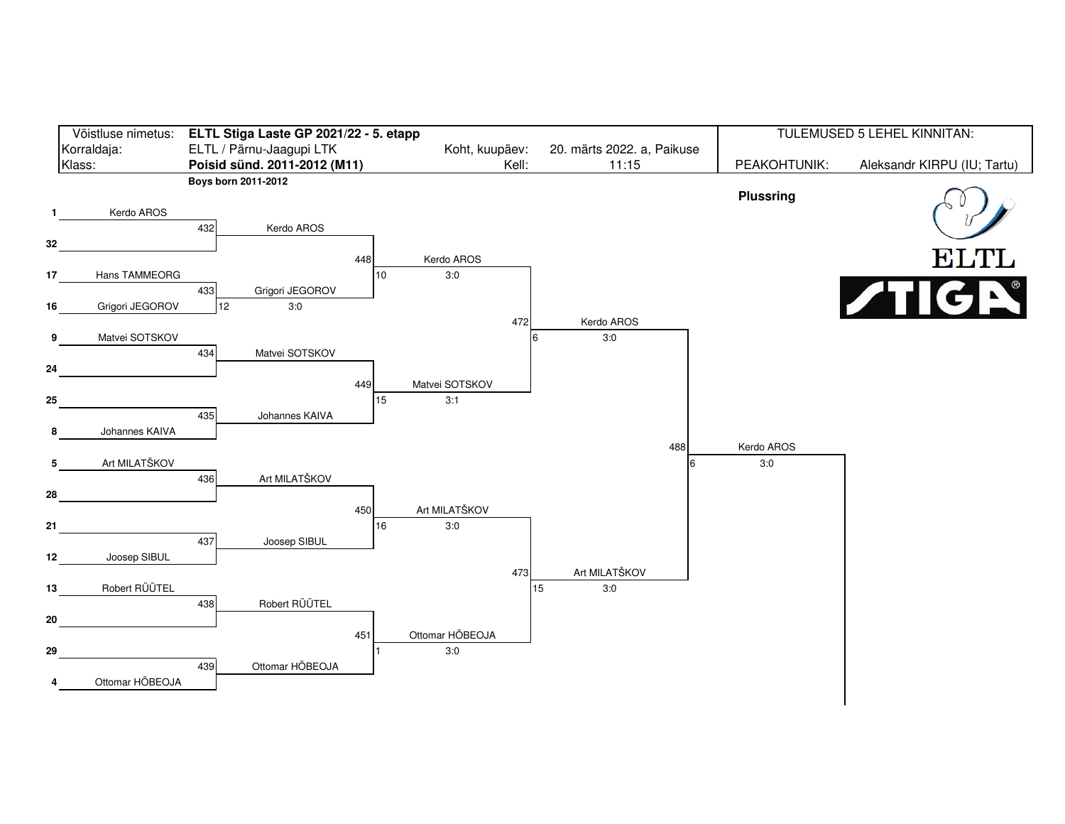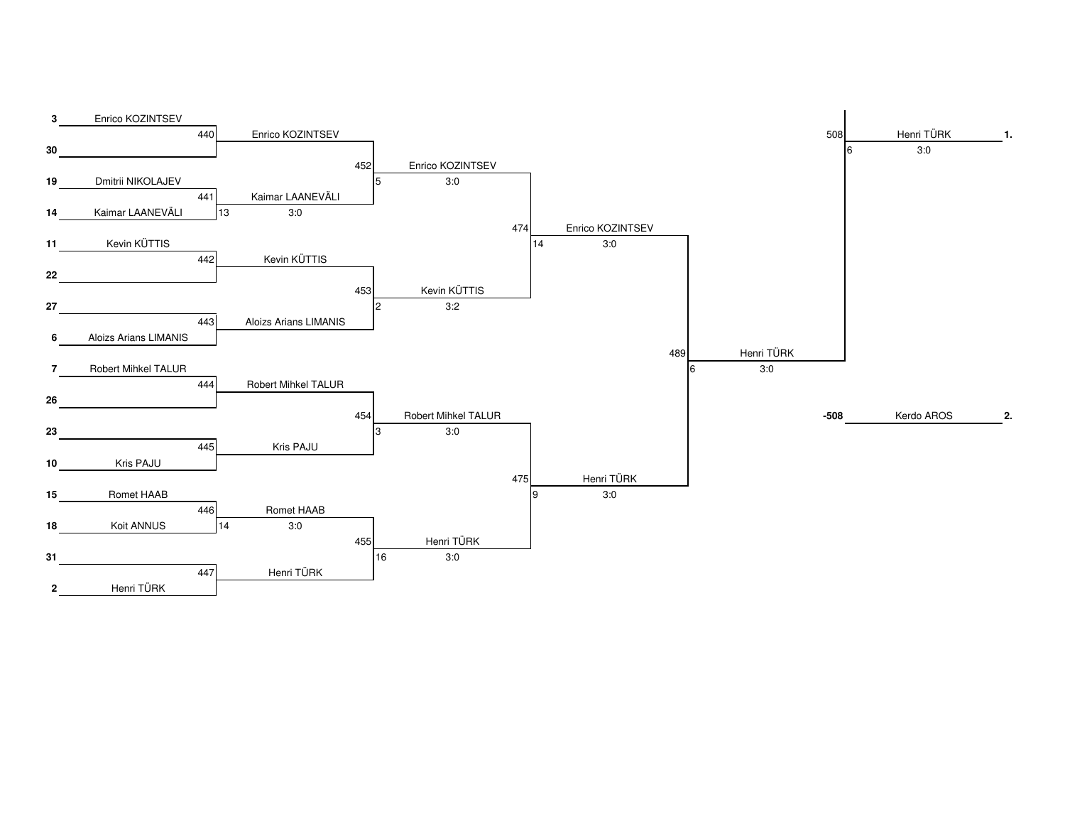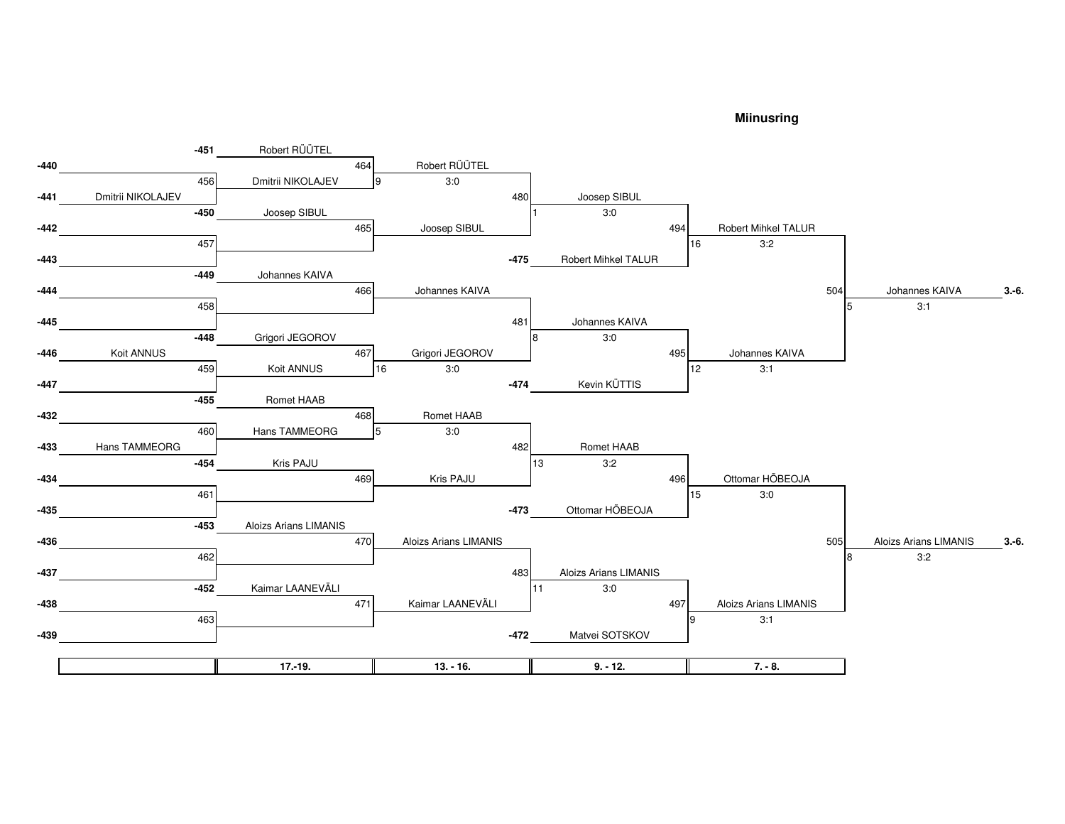## **Miinusring**

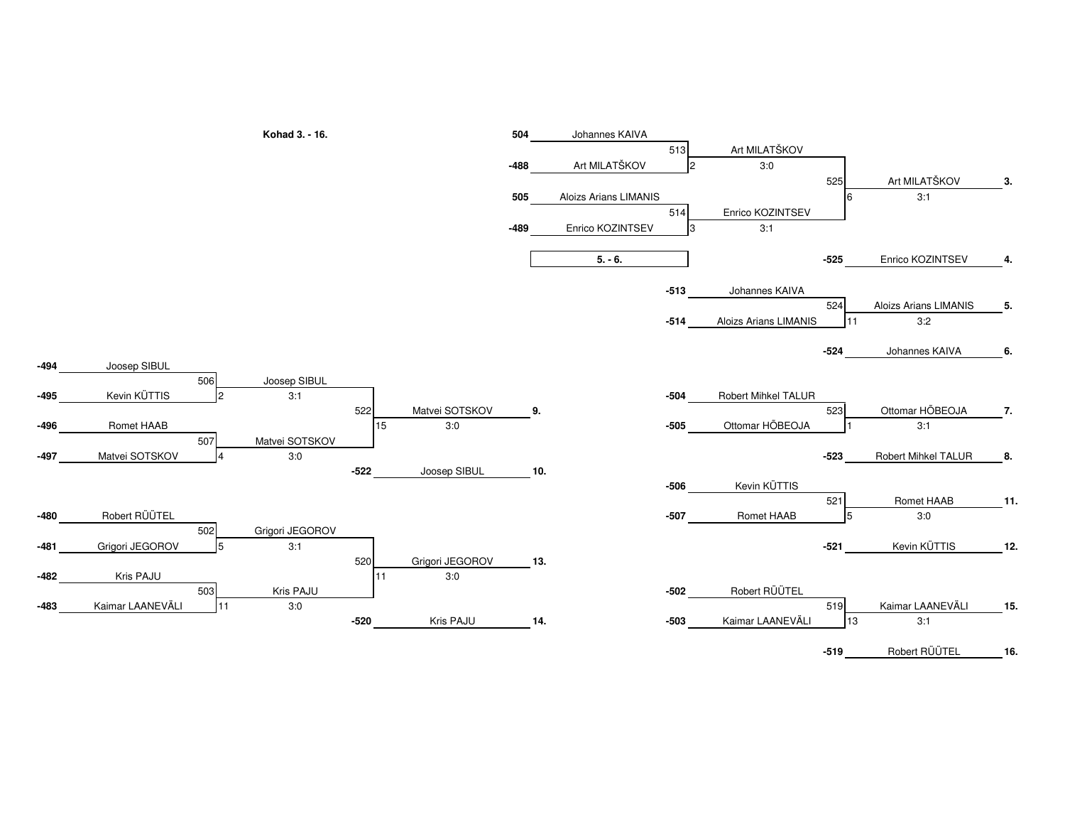